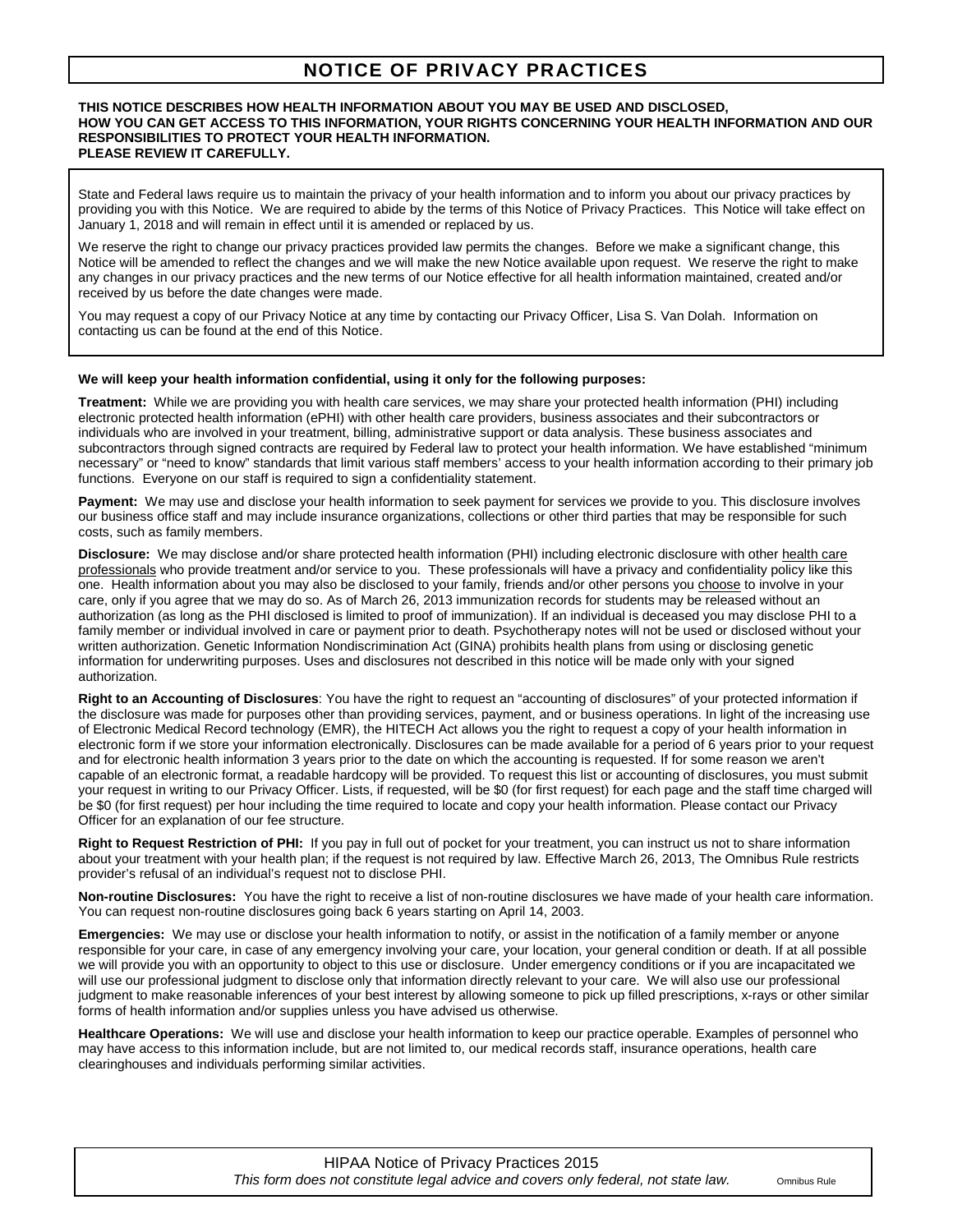# **NOTICE OF PRIVACY PRACTICES**

#### **THIS NOTICE DESCRIBES HOW HEALTH INFORMATION ABOUT YOU MAY BE USED AND DISCLOSED, HOW YOU CAN GET ACCESS TO THIS INFORMATION, YOUR RIGHTS CONCERNING YOUR HEALTH INFORMATION AND OUR RESPONSIBILITIES TO PROTECT YOUR HEALTH INFORMATION. PLEASE REVIEW IT CAREFULLY.**

State and Federal laws require us to maintain the privacy of your health information and to inform you about our privacy practices by providing you with this Notice. We are required to abide by the terms of this Notice of Privacy Practices. This Notice will take effect on January 1, 2018 and will remain in effect until it is amended or replaced by us.

We reserve the right to change our privacy practices provided law permits the changes. Before we make a significant change, this Notice will be amended to reflect the changes and we will make the new Notice available upon request. We reserve the right to make any changes in our privacy practices and the new terms of our Notice effective for all health information maintained, created and/or received by us before the date changes were made.

You may request a copy of our Privacy Notice at any time by contacting our Privacy Officer, Lisa S. Van Dolah. Information on contacting us can be found at the end of this Notice.

#### **We will keep your health information confidential, using it only for the following purposes:**

**Treatment:** While we are providing you with health care services, we may share your protected health information (PHI) including electronic protected health information (ePHI) with other health care providers, business associates and their subcontractors or individuals who are involved in your treatment, billing, administrative support or data analysis. These business associates and subcontractors through signed contracts are required by Federal law to protect your health information. We have established "minimum" necessary" or "need to know" standards that limit various staff members' access to your health information according to their primary job functions. Everyone on our staff is required to sign a confidentiality statement.

Payment: We may use and disclose your health information to seek payment for services we provide to you. This disclosure involves our business office staff and may include insurance organizations, collections or other third parties that may be responsible for such costs, such as family members.

**Disclosure:** We may disclose and/or share protected health information (PHI) including electronic disclosure with other health care professionals who provide treatment and/or service to you. These professionals will have a privacy and confidentiality policy like this one. Health information about you may also be disclosed to your family, friends and/or other persons you choose to involve in your care, only if you agree that we may do so. As of March 26, 2013 immunization records for students may be released without an authorization (as long as the PHI disclosed is limited to proof of immunization). If an individual is deceased you may disclose PHI to a family member or individual involved in care or payment prior to death. Psychotherapy notes will not be used or disclosed without your written authorization. Genetic Information Nondiscrimination Act (GINA) prohibits health plans from using or disclosing genetic information for underwriting purposes. Uses and disclosures not described in this notice will be made only with your signed authorization.

**Right to an Accounting of Disclosures**: You have the right to request an "accounting of disclosures" of your protected information if the disclosure was made for purposes other than providing services, payment, and or business operations. In light of the increasing use of Electronic Medical Record technology (EMR), the HITECH Act allows you the right to request a copy of your health information in electronic form if we store your information electronically. Disclosures can be made available for a period of 6 years prior to your request and for electronic health information 3 years prior to the date on which the accounting is requested. If for some reason we aren't capable of an electronic format, a readable hardcopy will be provided. To request this list or accounting of disclosures, you must submit your request in writing to our Privacy Officer. Lists, if requested, will be \$0 (for first request) for each page and the staff time charged will be \$0 (for first request) per hour including the time required to locate and copy your health information. Please contact our Privacy Officer for an explanation of our fee structure.

**Right to Request Restriction of PHI:** If you pay in full out of pocket for your treatment, you can instruct us not to share information about your treatment with your health plan; if the request is not required by law. Effective March 26, 2013, The Omnibus Rule restricts provider's refusal of an individual's request not to disclose PHI.

**Non-routine Disclosures:** You have the right to receive a list of non-routine disclosures we have made of your health care information. You can request non-routine disclosures going back 6 years starting on April 14, 2003.

**Emergencies:** We may use or disclose your health information to notify, or assist in the notification of a family member or anyone responsible for your care, in case of any emergency involving your care, your location, your general condition or death. If at all possible we will provide you with an opportunity to object to this use or disclosure. Under emergency conditions or if you are incapacitated we will use our professional judgment to disclose only that information directly relevant to your care. We will also use our professional judgment to make reasonable inferences of your best interest by allowing someone to pick up filled prescriptions, x-rays or other similar forms of health information and/or supplies unless you have advised us otherwise.

**Healthcare Operations:** We will use and disclose your health information to keep our practice operable. Examples of personnel who may have access to this information include, but are not limited to, our medical records staff, insurance operations, health care clearinghouses and individuals performing similar activities.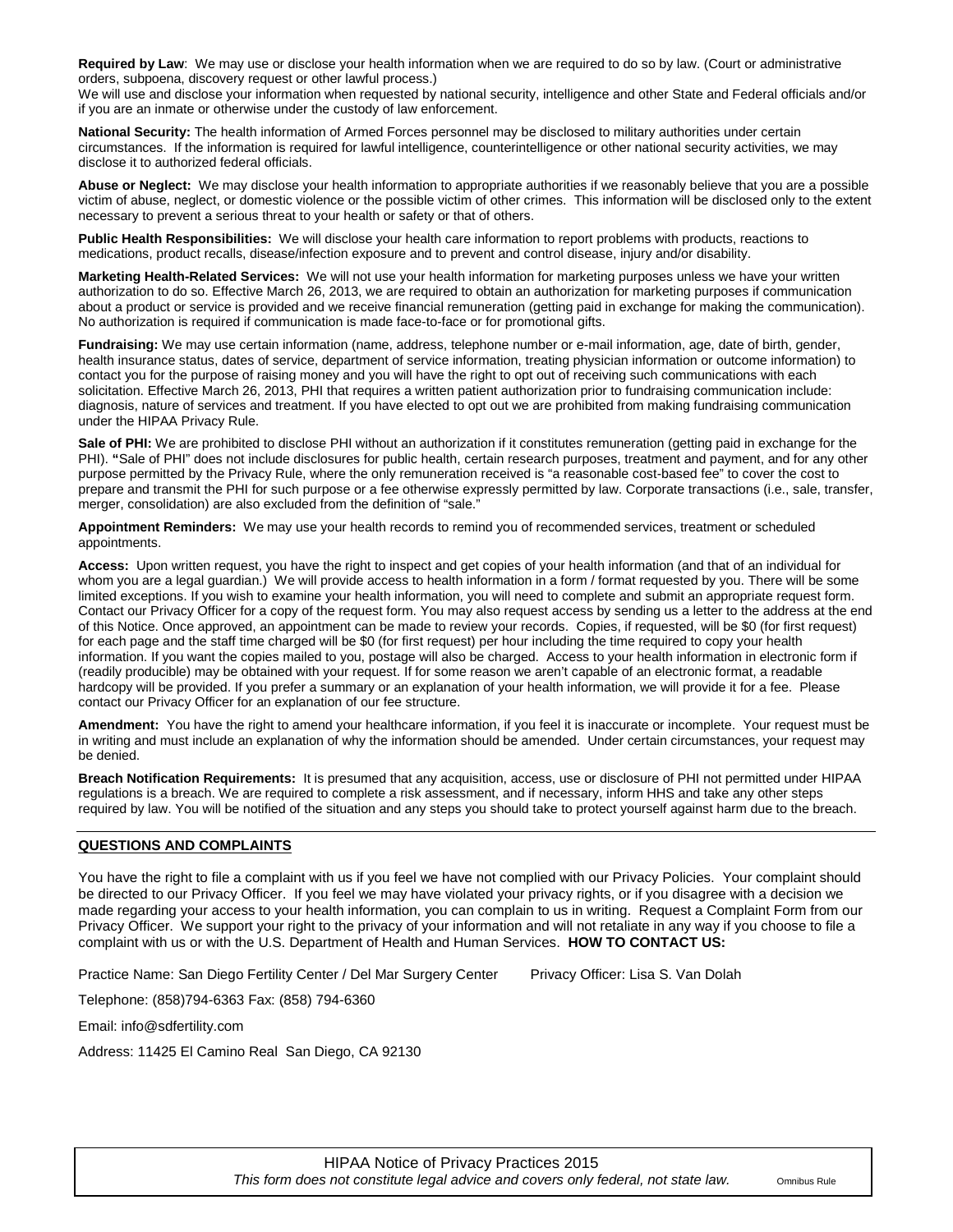**Required by Law**: We may use or disclose your health information when we are required to do so by law. (Court or administrative orders, subpoena, discovery request or other lawful process.)

We will use and disclose your information when requested by national security, intelligence and other State and Federal officials and/or if you are an inmate or otherwise under the custody of law enforcement.

**National Security:** The health information of Armed Forces personnel may be disclosed to military authorities under certain circumstances. If the information is required for lawful intelligence, counterintelligence or other national security activities, we may disclose it to authorized federal officials.

**Abuse or Neglect:** We may disclose your health information to appropriate authorities if we reasonably believe that you are a possible victim of abuse, neglect, or domestic violence or the possible victim of other crimes. This information will be disclosed only to the extent necessary to prevent a serious threat to your health or safety or that of others.

**Public Health Responsibilities:** We will disclose your health care information to report problems with products, reactions to medications, product recalls, disease/infection exposure and to prevent and control disease, injury and/or disability.

**Marketing Health-Related Services:** We will not use your health information for marketing purposes unless we have your written authorization to do so. Effective March 26, 2013, we are required to obtain an authorization for marketing purposes if communication about a product or service is provided and we receive financial remuneration (getting paid in exchange for making the communication). No authorization is required if communication is made face-to-face or for promotional gifts.

**Fundraising:** We may use certain information (name, address, telephone number or e-mail information, age, date of birth, gender, health insurance status, dates of service, department of service information, treating physician information or outcome information) to contact you for the purpose of raising money and you will have the right to opt out of receiving such communications with each solicitation. Effective March 26, 2013, PHI that requires a written patient authorization prior to fundraising communication include: diagnosis, nature of services and treatment. If you have elected to opt out we are prohibited from making fundraising communication under the HIPAA Privacy Rule.

Sale of PHI: We are prohibited to disclose PHI without an authorization if it constitutes remuneration (getting paid in exchange for the PHI). **"**Sale of PHI" does not include disclosures for public health, certain research purposes, treatment and payment, and for any other purpose permitted by the Privacy Rule, where the only remuneration received is "a reasonable cost-based fee" to cover the cost to prepare and transmit the PHI for such purpose or a fee otherwise expressly permitted by law. Corporate transactions (i.e., sale, transfer, merger, consolidation) are also excluded from the definition of "sale."

**Appointment Reminders:** We may use your health records to remind you of recommended services, treatment or scheduled appointments.

**Access:** Upon written request, you have the right to inspect and get copies of your health information (and that of an individual for whom you are a legal guardian.) We will provide access to health information in a form / format requested by you. There will be some limited exceptions. If you wish to examine your health information, you will need to complete and submit an appropriate request form. Contact our Privacy Officer for a copy of the request form. You may also request access by sending us a letter to the address at the end of this Notice. Once approved, an appointment can be made to review your records. Copies, if requested, will be \$0 (for first request) for each page and the staff time charged will be \$0 (for first request) per hour including the time required to copy your health information. If you want the copies mailed to you, postage will also be charged. Access to your health information in electronic form if (readily producible) may be obtained with your request. If for some reason we aren't capable of an electronic format, a readable hardcopy will be provided. If you prefer a summary or an explanation of your health information, we will provide it for a fee. Please contact our Privacy Officer for an explanation of our fee structure.

**Amendment:** You have the right to amend your healthcare information, if you feel it is inaccurate or incomplete. Your request must be in writing and must include an explanation of why the information should be amended. Under certain circumstances, your request may be denied.

**Breach Notification Requirements:** It is presumed that any acquisition, access, use or disclosure of PHI not permitted under HIPAA regulations is a breach. We are required to complete a risk assessment, and if necessary, inform HHS and take any other steps required by law. You will be notified of the situation and any steps you should take to protect yourself against harm due to the breach.

### **QUESTIONS AND COMPLAINTS**

You have the right to file a complaint with us if you feel we have not complied with our Privacy Policies. Your complaint should be directed to our Privacy Officer. If you feel we may have violated your privacy rights, or if you disagree with a decision we made regarding your access to your health information, you can complain to us in writing. Request a Complaint Form from our Privacy Officer. We support your right to the privacy of your information and will not retaliate in any way if you choose to file a complaint with us or with the U.S. Department of Health and Human Services. **HOW TO CONTACT US:**

Practice Name: San Diego Fertility Center / Del Mar Surgery Center Privacy Officer: Lisa S. Van Dolah

Telephone: (858)794-6363 Fax: (858) 794-6360

Email: info@sdfertility.com

Address: 11425 El Camino Real San Diego, CA 92130